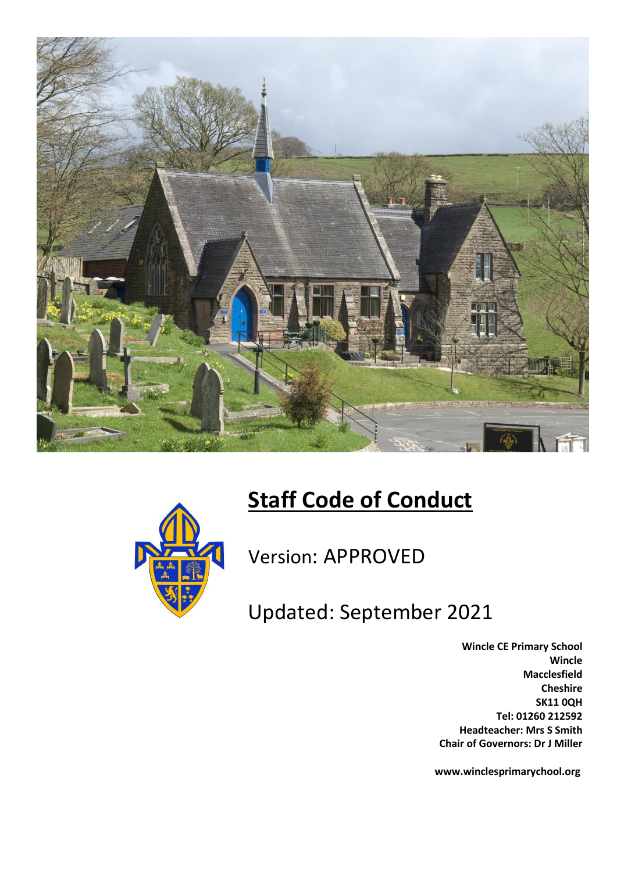

# **Staff Code of Conduct**



Version: APPROVED

Updated: September 2021

**Wincle CE Primary School Wincle Macclesfield Cheshire SK11 0QH Tel: 01260 212592 Headteacher: Mrs S Smith Chair of Governors: Dr J Miller**

**www.winclesprimarychool.org**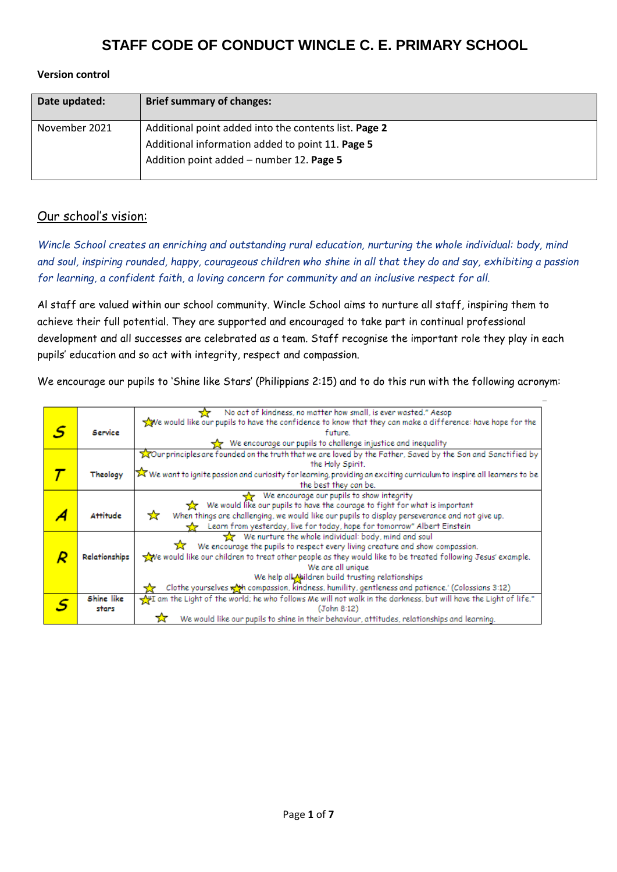#### **Version control**

| Date updated: | <b>Brief summary of changes:</b>                                                                                                                      |
|---------------|-------------------------------------------------------------------------------------------------------------------------------------------------------|
| November 2021 | Additional point added into the contents list. Page 2<br>Additional information added to point 11. Page 5<br>Addition point added - number 12. Page 5 |

#### Our school's vision:

*Wincle School creates an enriching and outstanding rural education, nurturing the whole individual: body, mind and soul, inspiring rounded, happy, courageous children who shine in all that they do and say, exhibiting a passion for learning, a confident faith, a loving concern for community and an inclusive respect for all.*

Al staff are valued within our school community. Wincle School aims to nurture all staff, inspiring them to achieve their full potential. They are supported and encouraged to take part in continual professional development and all successes are celebrated as a team. Staff recognise the important role they play in each pupils' education and so act with integrity, respect and compassion.

We encourage our pupils to 'Shine like Stars' (Philippians 2:15) and to do this run with the following acronym:

|   |                 | No act of kindness, no matter how small, is ever wasted." Aesop                                                          |
|---|-----------------|--------------------------------------------------------------------------------------------------------------------------|
|   |                 | We would like our pupils to have the confidence to know that they can make a difference: have hope for the               |
| S | Service         | future.                                                                                                                  |
|   |                 | We encourage our pupils to challenge injustice and inequality                                                            |
|   |                 | Tour principles are founded on the truth that we are loved by the Father, Saved by the Son and Sanctified by             |
|   |                 | the Holy Spirit.                                                                                                         |
|   | Theology        | X We want to ignite passion and curiosity for learning, providing an exciting curriculum to inspire all learners to be   |
|   |                 | the best they can be.                                                                                                    |
|   |                 |                                                                                                                          |
|   |                 | We encourage our pupils to show integrity<br>We would like our pupils to have the courage to fight for what is important |
|   |                 |                                                                                                                          |
|   | <b>Attitude</b> | When things are challenging, we would like our pupils to display perseverance and not give up.<br>₩                      |
|   |                 | Learn from yesterday, live for today, hope for tomorrow" Albert Einstein                                                 |
|   |                 | We nurture the whole individual: body, mind and soul                                                                     |
|   |                 | We encourage the pupils to respect every living creature and show compassion.                                            |
|   | Relationships   | $\sqrt{2}$ e would like our children to treat other people as they would like to be treated following Jesus' example.    |
|   |                 | We are all unique                                                                                                        |
|   |                 | We help all Mildren build trusting relationships                                                                         |
|   |                 | Clothe yourselves wat compassion, kindness, humility, gentleness and patience.' (Colossians 3:12)                        |
|   | Shine like      | Vin I am the Light of the world; he who follows Me will not walk in the darkness, but will have the Light of life."      |
|   | stars           | (John 8:12)                                                                                                              |
|   |                 | We would like our pupils to shine in their behaviour, attitudes, relationships and learning.                             |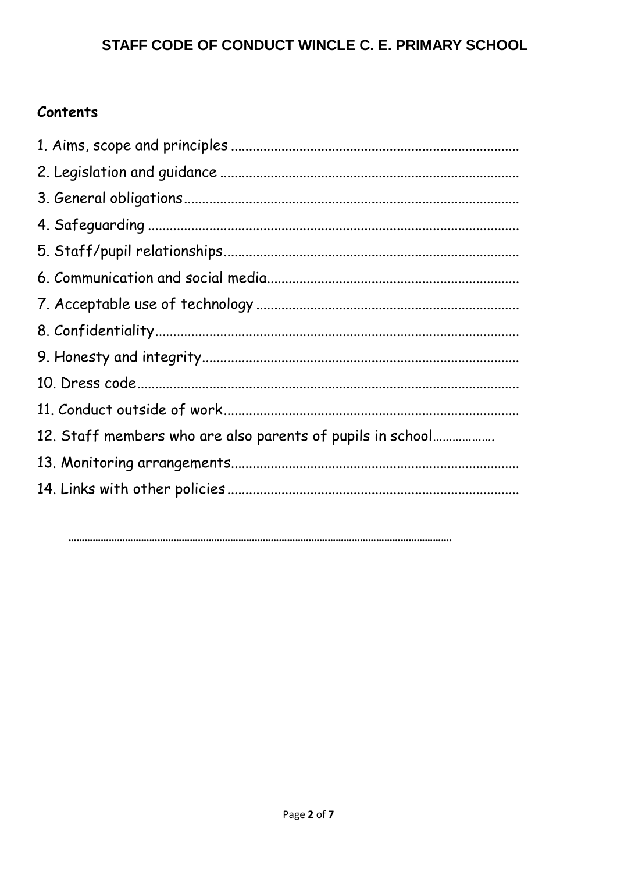# Contents

| 12. Staff members who are also parents of pupils in school |
|------------------------------------------------------------|
|                                                            |
|                                                            |
|                                                            |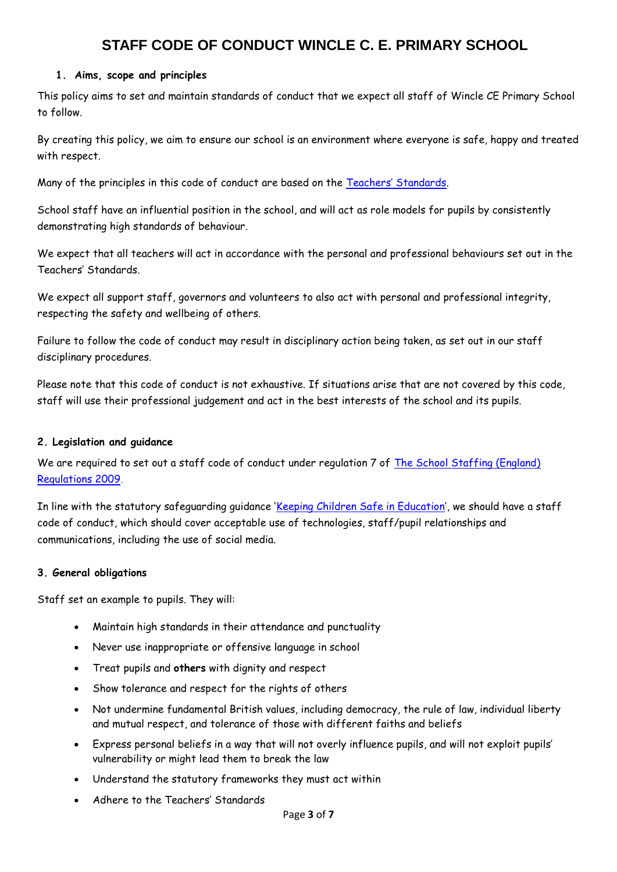#### **1. Aims, scope and principles**

This policy aims to set and maintain standards of conduct that we expect all staff of Wincle CE Primary School to follow.

By creating this policy, we aim to ensure our school is an environment where everyone is safe, happy and treated with respect.

Many of the principles in this code of conduct are based on the [Teachers' Standards](https://www.gov.uk/government/uploads/system/uploads/attachment_data/file/301107/Teachers__Standards.pdf).

School staff have an influential position in the school, and will act as role models for pupils by consistently demonstrating high standards of behaviour.

We expect that all teachers will act in accordance with the personal and professional behaviours set out in the Teachers' Standards.

We expect all support staff, governors and volunteers to also act with personal and professional integrity, respecting the safety and wellbeing of others.

Failure to follow the code of conduct may result in disciplinary action being taken, as set out in our staff disciplinary procedures.

Please note that this code of conduct is not exhaustive. If situations arise that are not covered by this code, staff will use their professional judgement and act in the best interests of the school and its pupils.

#### **2. Legislation and guidance**

We are required to set out a staff code of conduct under regulation 7 of The School Staffing (England) [Regulations 2009.](http://www.legislation.gov.uk/uksi/2009/2680/contents/made)

In line with the statutory safeguarding guidance '[Keeping Children Safe in Education](https://www.gov.uk/government/publications/keeping-children-safe-in-education--2)', we should have a staff code of conduct, which should cover acceptable use of technologies, staff/pupil relationships and communications, including the use of social media.

#### **3. General obligations**

Staff set an example to pupils. They will:

- Maintain high standards in their attendance and punctuality
- Never use inappropriate or offensive language in school
- Treat pupils and **others** with dignity and respect
- Show tolerance and respect for the rights of others
- Not undermine fundamental British values, including democracy, the rule of law, individual liberty and mutual respect, and tolerance of those with different faiths and beliefs
- Express personal beliefs in a way that will not overly influence pupils, and will not exploit pupils' vulnerability or might lead them to break the law
- Understand the statutory frameworks they must act within
- Adhere to the Teachers' Standards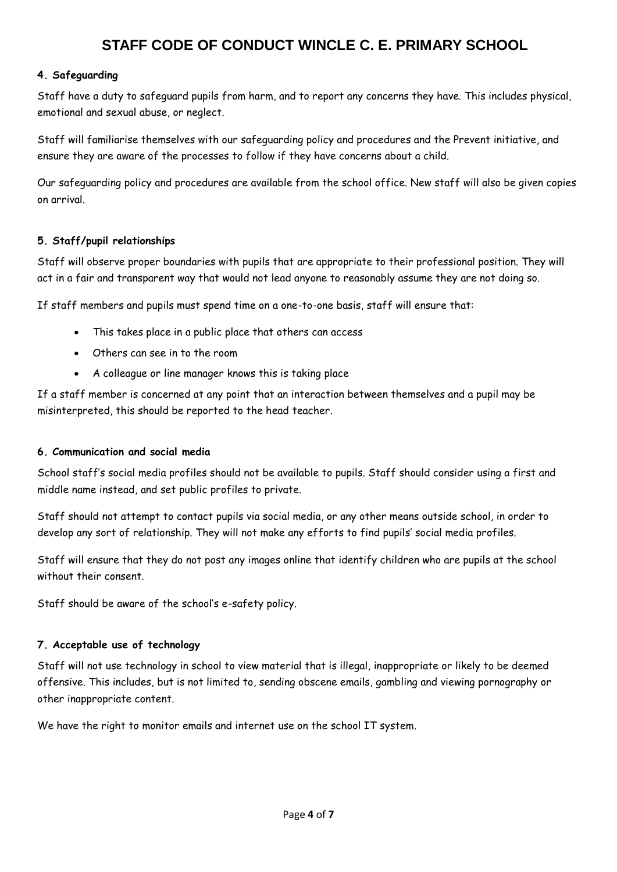#### **4. Safeguarding**

Staff have a duty to safeguard pupils from harm, and to report any concerns they have. This includes physical, emotional and sexual abuse, or neglect.

Staff will familiarise themselves with our safeguarding policy and procedures and the Prevent initiative, and ensure they are aware of the processes to follow if they have concerns about a child.

Our safeguarding policy and procedures are available from the school office. New staff will also be given copies on arrival.

#### **5. Staff/pupil relationships**

Staff will observe proper boundaries with pupils that are appropriate to their professional position. They will act in a fair and transparent way that would not lead anyone to reasonably assume they are not doing so.

If staff members and pupils must spend time on a one-to-one basis, staff will ensure that:

- This takes place in a public place that others can access
- Others can see in to the room
- A colleague or line manager knows this is taking place

If a staff member is concerned at any point that an interaction between themselves and a pupil may be misinterpreted, this should be reported to the head teacher.

#### **6. Communication and social media**

School staff's social media profiles should not be available to pupils. Staff should consider using a first and middle name instead, and set public profiles to private.

Staff should not attempt to contact pupils via social media, or any other means outside school, in order to develop any sort of relationship. They will not make any efforts to find pupils' social media profiles.

Staff will ensure that they do not post any images online that identify children who are pupils at the school without their consent.

Staff should be aware of the school's e-safety policy.

#### **7. Acceptable use of technology**

Staff will not use technology in school to view material that is illegal, inappropriate or likely to be deemed offensive. This includes, but is not limited to, sending obscene emails, gambling and viewing pornography or other inappropriate content.

We have the right to monitor emails and internet use on the school IT system.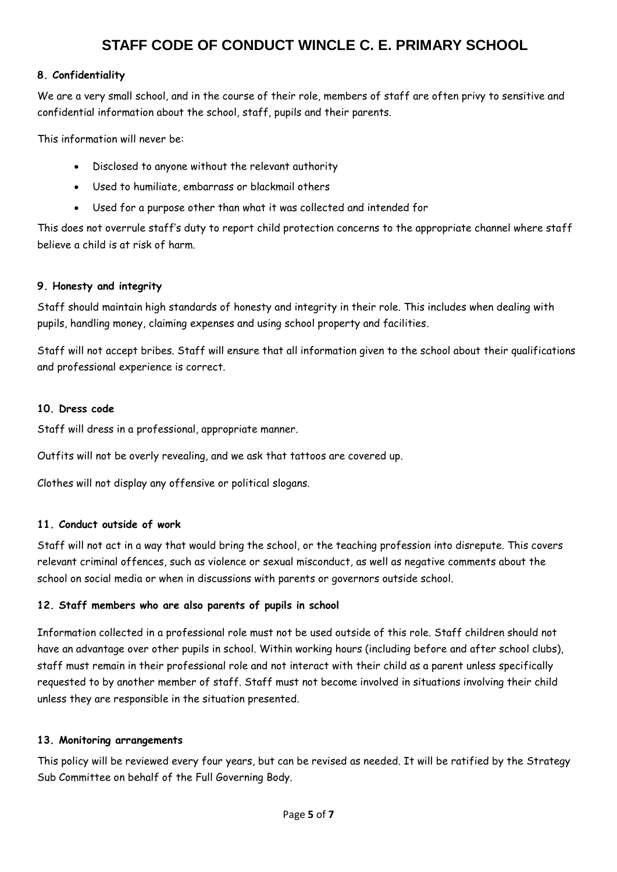#### **8. Confidentiality**

We are a very small school, and in the course of their role, members of staff are often privy to sensitive and confidential information about the school, staff, pupils and their parents.

This information will never be:

- Disclosed to anyone without the relevant authority
- Used to humiliate, embarrass or blackmail others
- Used for a purpose other than what it was collected and intended for

This does not overrule staff's duty to report child protection concerns to the appropriate channel where staff believe a child is at risk of harm.

#### **9. Honesty and integrity**

Staff should maintain high standards of honesty and integrity in their role. This includes when dealing with pupils, handling money, claiming expenses and using school property and facilities.

Staff will not accept bribes. Staff will ensure that all information given to the school about their qualifications and professional experience is correct.

#### **10. Dress code**

Staff will dress in a professional, appropriate manner.

Outfits will not be overly revealing, and we ask that tattoos are covered up.

Clothes will not display any offensive or political slogans.

#### **11. Conduct outside of work**

Staff will not act in a way that would bring the school, or the teaching profession into disrepute. This covers relevant criminal offences, such as violence or sexual misconduct, as well as negative comments about the school on social media or when in discussions with parents or governors outside school.

#### **12. Staff members who are also parents of pupils in school**

Information collected in a professional role must not be used outside of this role. Staff children should not have an advantage over other pupils in school. Within working hours (including before and after school clubs), staff must remain in their professional role and not interact with their child as a parent unless specifically requested to by another member of staff. Staff must not become involved in situations involving their child unless they are responsible in the situation presented.

#### **13. Monitoring arrangements**

This policy will be reviewed every four years, but can be revised as needed. It will be ratified by the Strategy Sub Committee on behalf of the Full Governing Body.